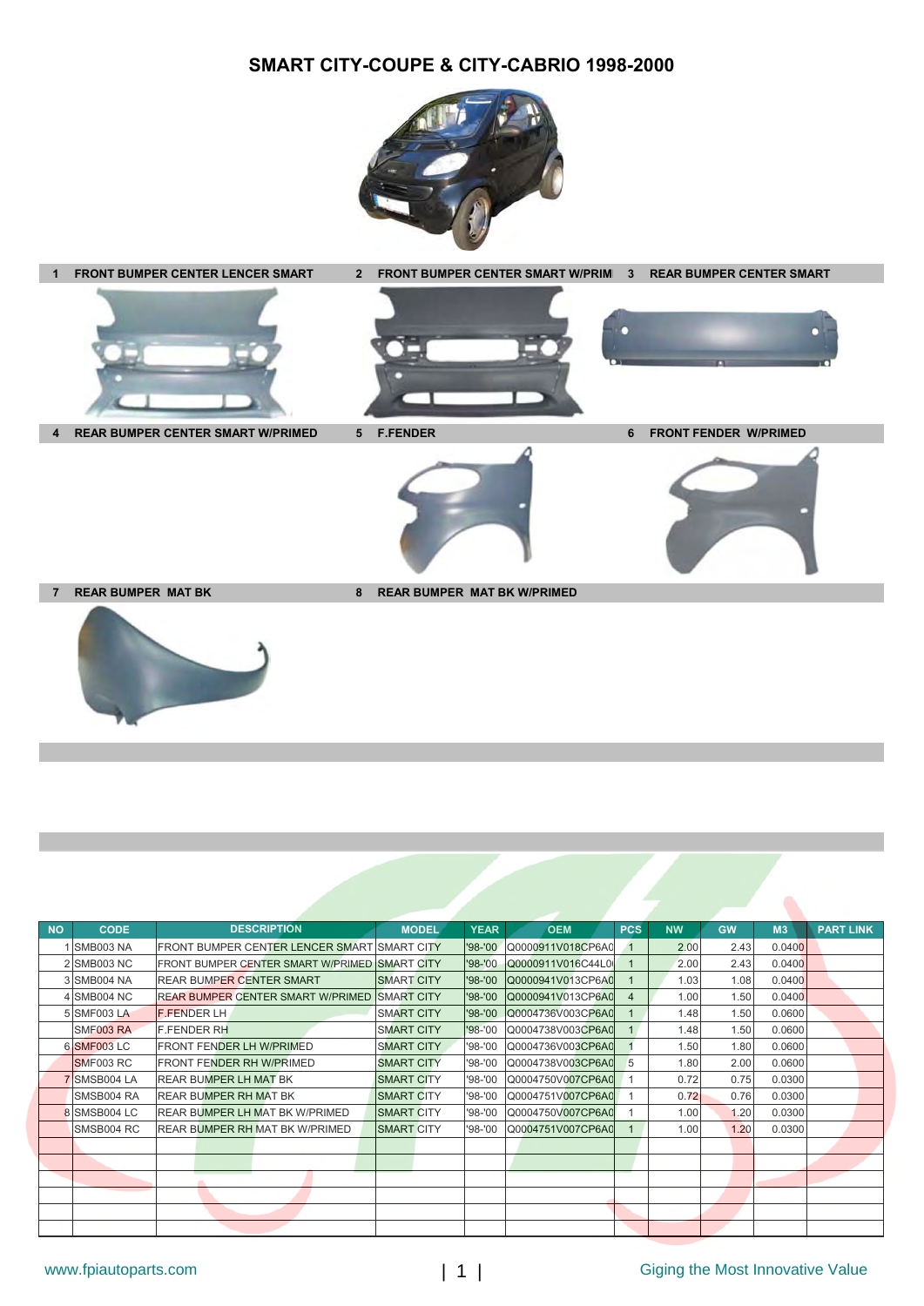## **SMART CITY-COUPE & CITY-CABRIO 1998-2000**





**7 REAR BUMPER MAT BK** 8 REAR BUMPER MAT BK W/PRIMED



| <b>NO</b> | <b>CODE</b>        | <b>DESCRIPTION</b>                            | <b>MODEL</b>      | <b>YEAR</b> | <b>OEM</b>        | <b>PCS</b>     | <b>NW</b> | <b>GW</b> | M <sub>3</sub> | <b>PART LINK</b> |
|-----------|--------------------|-----------------------------------------------|-------------------|-------------|-------------------|----------------|-----------|-----------|----------------|------------------|
|           | <b>SMB003 NA</b>   | FRONT BUMPER CENTER LENCER SMART SMART CITY   |                   | '98-'00     | Q0000911V018CP6A0 |                | 2.00      | 2.43      | 0.0400         |                  |
|           | 2 SMB003 NC        | FRONT BUMPER CENTER SMART W/PRIMED SMART CITY |                   | '98-'00     | Q0000911V016C44L0 |                | 2.00      | 2.43      | 0.0400         |                  |
|           | 3 SMB004 NA        | <b>REAR BUMPER CENTER SMART</b>               | <b>SMART CITY</b> | $'98 - '00$ | Q0000941V013CP6A0 |                | 1.03      | 1.08      | 0.0400         |                  |
|           | 4 SMB004 NC        | <b>REAR BUMPER CENTER SMART W/PRIMED</b>      | <b>SMART CITY</b> | $'98 - '00$ | Q0000941V013CP6A0 | $\overline{4}$ | 1.00      | 1.50      | 0.0400         |                  |
|           | 5 SMF003 LA        | <b>F.FENDER LH</b>                            | <b>SMART CITY</b> | $'98 - '00$ | Q0004736V003CP6A0 |                | 1.48      | 1.50      | 0.0600         |                  |
|           | SMF003 RA          | <b>F.FENDER RH</b>                            | <b>SMART CITY</b> | $'98 - '00$ | Q0004738V003CP6A0 | $\mathbf{1}$   | 1.48      | 1.50      | 0.0600         |                  |
|           | <b>6 SMF003 LC</b> | <b>FRONT FENDER LH W/PRIMED</b>               | <b>SMART CITY</b> | '98-'00     | Q0004736V003CP6A0 |                | 1.50      | 1.80      | 0.0600         |                  |
|           | SMF003 RC          | <b>FRONT FENDER RH W/PRIMED</b>               | <b>SMART CITY</b> | '98-'00     | Q0004738V003CP6A0 | 5              | 1.80      | 2.00      | 0.0600         |                  |
|           | 7 SMSB004 LA       | <b>REAR BUMPER LH MAT BK</b>                  | <b>SMART CITY</b> | '98-'00     | Q0004750V007CP6A0 |                | 0.72      | 0.75      | 0.0300         |                  |
|           | SMSB004 RA         | <b>REAR BUMPER RH MAT BK</b>                  | <b>SMART CITY</b> | '98-'00     | Q0004751V007CP6A0 |                | 0.72      | 0.76      | 0.0300         |                  |
|           | 8 SMSB004 LC       | <b>REAR BUMPER LH MAT BK W/PRIMED</b>         | <b>SMART CITY</b> | $'98 - '00$ | Q0004750V007CP6A0 |                | 1.00      | 1.20      | 0.0300         |                  |
|           | SMSB004 RC         | REAR BUMPER RH MAT BK W/PRIMED                | <b>SMART CITY</b> | '98-'00     | Q0004751V007CP6A0 |                | 1.00      | 1.20      | 0.0300         |                  |
|           |                    |                                               |                   |             |                   |                |           |           |                |                  |
|           |                    |                                               |                   |             |                   |                |           |           |                |                  |
|           |                    |                                               |                   |             |                   |                |           |           |                |                  |
|           |                    |                                               |                   |             |                   |                |           |           |                |                  |
|           |                    |                                               |                   |             |                   |                |           |           |                |                  |
|           |                    |                                               |                   |             |                   |                |           |           |                |                  |

 $\bullet$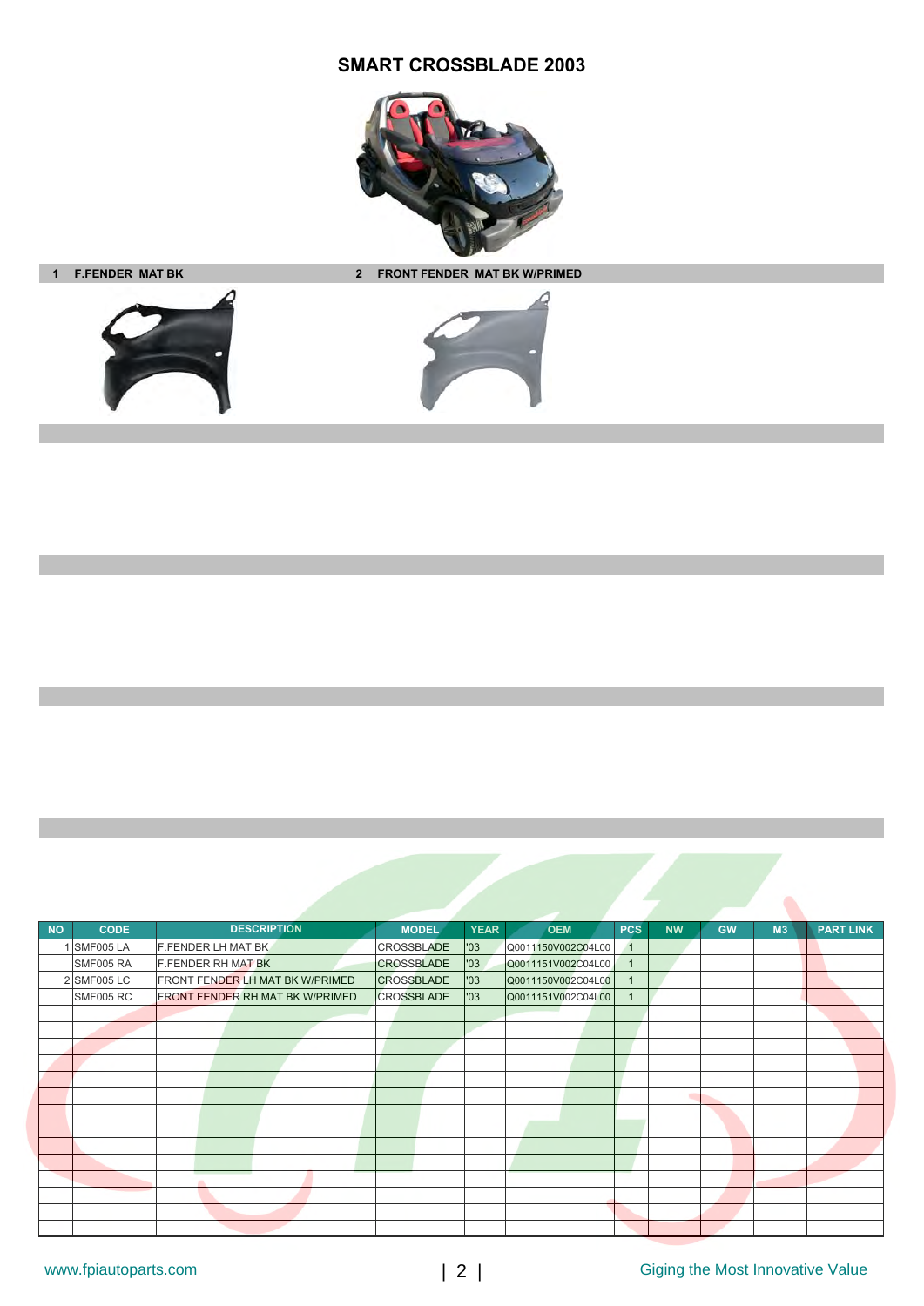## **SMART CROSSBLADE 2003**



**1 F.FENDER MAT BK 2 FRONT FENDER MAT BK W/PRIMED**





| <b>NO</b> | <b>CODE</b>      | <b>DESCRIPTION</b>                     | <b>MODEL</b>      | <b>YEAR</b><br><b>OEM</b> | <b>PCS</b>   | <b>NW</b> | <b>GW</b> | M <sub>3</sub> | <b>PART LINK</b> |
|-----------|------------------|----------------------------------------|-------------------|---------------------------|--------------|-----------|-----------|----------------|------------------|
|           | <b>SMF005 LA</b> | <b>F.FENDER LH MAT BK</b>              | CROSSBLADE        | '03<br>Q0011150V002C04L00 | $\mathbf{1}$ |           |           |                |                  |
|           | SMF005 RA        | <b>F.FENDER RH MAT BK</b>              | <b>CROSSBLADE</b> | '03<br>Q0011151V002C04L00 | $\mathbf 1$  |           |           |                |                  |
|           | 2 SMF005 LC      | <b>FRONT FENDER LH MAT BK W/PRIMED</b> | <b>CROSSBLADE</b> | '03<br>Q0011150V002C04L00 |              |           |           |                |                  |
|           | SMF005 RC        | FRONT FENDER RH MAT BK W/PRIMED        | <b>CROSSBLADE</b> | '03<br>Q0011151V002C04L00 | 1            |           |           |                |                  |
|           |                  |                                        |                   |                           |              |           |           |                |                  |
|           |                  |                                        |                   |                           |              |           |           |                |                  |
|           |                  |                                        |                   |                           |              |           |           |                |                  |
|           |                  |                                        |                   |                           |              |           |           |                |                  |
|           |                  |                                        |                   |                           |              |           |           |                |                  |
|           |                  |                                        |                   |                           |              |           |           |                |                  |
|           |                  |                                        |                   |                           |              |           |           |                |                  |
|           |                  |                                        |                   |                           |              |           |           |                |                  |
|           |                  |                                        |                   |                           |              |           |           |                |                  |
|           |                  |                                        |                   |                           |              |           |           |                |                  |
|           |                  |                                        |                   |                           |              |           |           |                |                  |
|           |                  |                                        |                   |                           |              |           |           |                |                  |
|           |                  |                                        |                   |                           |              |           |           |                |                  |
|           |                  |                                        |                   |                           |              |           |           |                |                  |